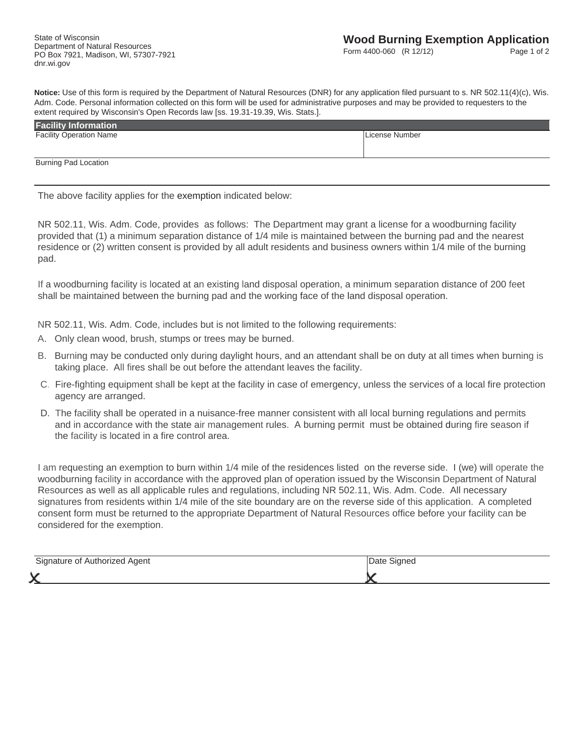**Notice:** Use of this form is required by the Department of Natural Resources (DNR) for any application filed pursuant to s. NR 502.11(4)(c), Wis. Adm. Code. Personal information collected on this form will be used for administrative purposes and may be provided to requesters to the extent required by Wisconsin's Open Records law [ss. 19.31-19.39, Wis. Stats.].

| <b>Facility Information</b>    |                |
|--------------------------------|----------------|
| <b>Facility Operation Name</b> | License Number |
|                                |                |
|                                |                |
| <b>Burning Pad Location</b>    |                |
|                                |                |

The above facility applies for the exemption indicated below:

NR 502.11, Wis. Adm. Code, provides as follows: The Department may grant a license for a woodburning facility provided that (1) a minimum separation distance of 1/4 mile is maintained between the burning pad and the nearest residence or (2) written consent is provided by all adult residents and business owners within 1/4 mile of the burning pad.

If a woodburning facility is located at an existing land disposal operation, a minimum separation distance of 200 feet shall be maintained between the burning pad and the working face of the land disposal operation.

NR 502.11, Wis. Adm. Code, includes but is not limited to the following requirements:

- A. Only clean wood, brush, stumps or trees may be burned.
- B. Burning may be conducted only during daylight hours, and an attendant shall be on duty at all times when burning is taking place. All fires shall be out before the attendant leaves the facility.
- C. Fire-fighting equipment shall be kept at the facility in case of emergency, unless the services of a local fire protection agency are arranged.
- D. The facility shall be operated in a nuisance-free manner consistent with all local burning regulations and permits and in accordance with the state air management rules. A burning permit must be obtained during fire season if the facility is located in a fire control area.

I am requesting an exemption to burn within 1/4 mile of the residences listed on the reverse side. I (we) will operate the woodburning facility in accordance with the approved plan of operation issued by the Wisconsin Department of Natural Resources as well as all applicable rules and regulations, including NR 502.11, Wis. Adm. Code. All necessary signatures from residents within 1/4 mile of the site boundary are on the reverse side of this application. A completed consent form must be returned to the appropriate Department of Natural Resources office before your facility can be considered for the exemption.

| Signature of Authorized Agent | Jate<br>Signed |
|-------------------------------|----------------|
|                               |                |